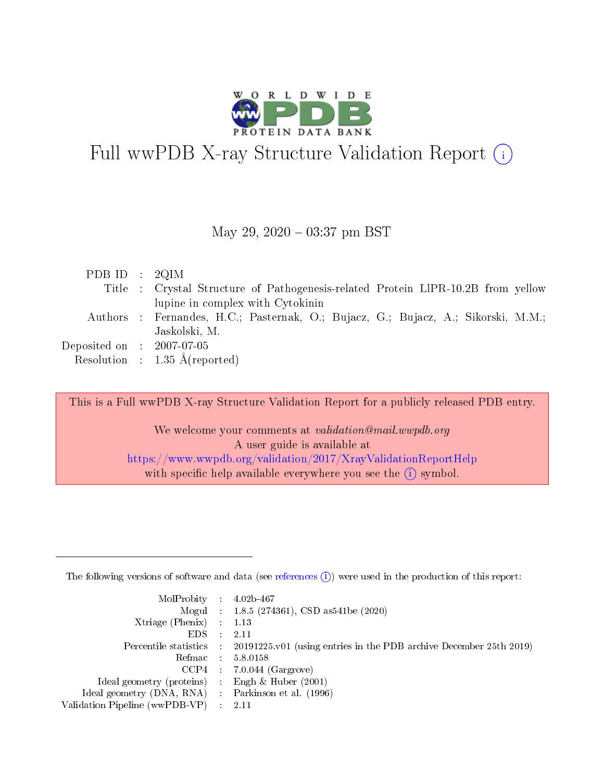

# Full wwPDB X-ray Structure Validation Report  $(i)$

#### May 29,  $2020 - 03:37$  pm BST

| PDB ID : $2QIM$                     |                                                                                   |
|-------------------------------------|-----------------------------------------------------------------------------------|
|                                     | Title : Crystal Structure of Pathogenesis-related Protein LIPR-10.2B from yellow  |
|                                     | lupine in complex with Cytokinin                                                  |
|                                     | Authors : Fernandes, H.C.; Pasternak, O.; Bujacz, G.; Bujacz, A.; Sikorski, M.M.; |
|                                     | Jaskolski, M.                                                                     |
| Deposited on $\,$ : 2007-07-05 $\,$ |                                                                                   |
|                                     | Resolution : $1.35 \text{ Å}$ (reported)                                          |

This is a Full wwPDB X-ray Structure Validation Report for a publicly released PDB entry.

We welcome your comments at validation@mail.wwpdb.org A user guide is available at <https://www.wwpdb.org/validation/2017/XrayValidationReportHelp> with specific help available everywhere you see the  $(i)$  symbol.

The following versions of software and data (see [references](https://www.wwpdb.org/validation/2017/XrayValidationReportHelp#references)  $(1)$ ) were used in the production of this report:

| $MolProbability$ : 4.02b-467                        |                                                                                            |
|-----------------------------------------------------|--------------------------------------------------------------------------------------------|
|                                                     | Mogul : 1.8.5 (274361), CSD as 541be (2020)                                                |
| Xtriage (Phenix) $: 1.13$                           |                                                                                            |
| EDS :                                               | -2.11                                                                                      |
|                                                     | Percentile statistics : 20191225.v01 (using entries in the PDB archive December 25th 2019) |
| Refmac 58.0158                                      |                                                                                            |
|                                                     | $CCP4$ 7.0.044 (Gargrove)                                                                  |
| Ideal geometry (proteins) : Engh $\&$ Huber (2001)  |                                                                                            |
| Ideal geometry (DNA, RNA) : Parkinson et al. (1996) |                                                                                            |
| Validation Pipeline (wwPDB-VP) : 2.11               |                                                                                            |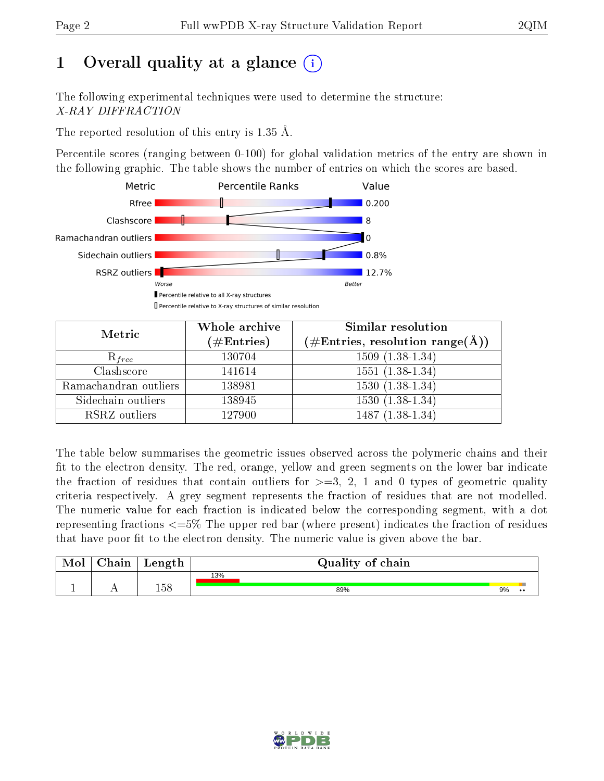# 1 [O](https://www.wwpdb.org/validation/2017/XrayValidationReportHelp#overall_quality)verall quality at a glance  $(i)$

The following experimental techniques were used to determine the structure: X-RAY DIFFRACTION

The reported resolution of this entry is 1.35 Å.

Percentile scores (ranging between 0-100) for global validation metrics of the entry are shown in the following graphic. The table shows the number of entries on which the scores are based.



| Metric                | Whole archive<br>$(\#\text{Entries})$ | Similar resolution<br>$(\#\text{Entries},\,\text{resolution}\,\,\text{range}(\textup{\AA}))$ |
|-----------------------|---------------------------------------|----------------------------------------------------------------------------------------------|
| $R_{free}$            | 130704                                | $1509(1.38-1.34)$                                                                            |
| Clashscore            | 141614                                | $1551(1.38-1.34)$                                                                            |
| Ramachandran outliers | 138981                                | $1530(1.38-1.34)$                                                                            |
| Sidechain outliers    | 138945                                | $1530(1.38-1.34)$                                                                            |
| RSRZ outliers         | 127900                                | $1487(1.38-1.34)$                                                                            |

The table below summarises the geometric issues observed across the polymeric chains and their fit to the electron density. The red, orange, yellow and green segments on the lower bar indicate the fraction of residues that contain outliers for  $>=3, 2, 1$  and 0 types of geometric quality criteria respectively. A grey segment represents the fraction of residues that are not modelled. The numeric value for each fraction is indicated below the corresponding segment, with a dot representing fractions  $\epsilon=5\%$  The upper red bar (where present) indicates the fraction of residues that have poor fit to the electron density. The numeric value is given above the bar.

| Mol       | $\gamma$ hain | Length | Quality of chain |    |                  |
|-----------|---------------|--------|------------------|----|------------------|
|           |               |        | 13%              |    |                  |
| <u>д.</u> | . .           | 158    | 89%              | 9% | $\bullet\bullet$ |

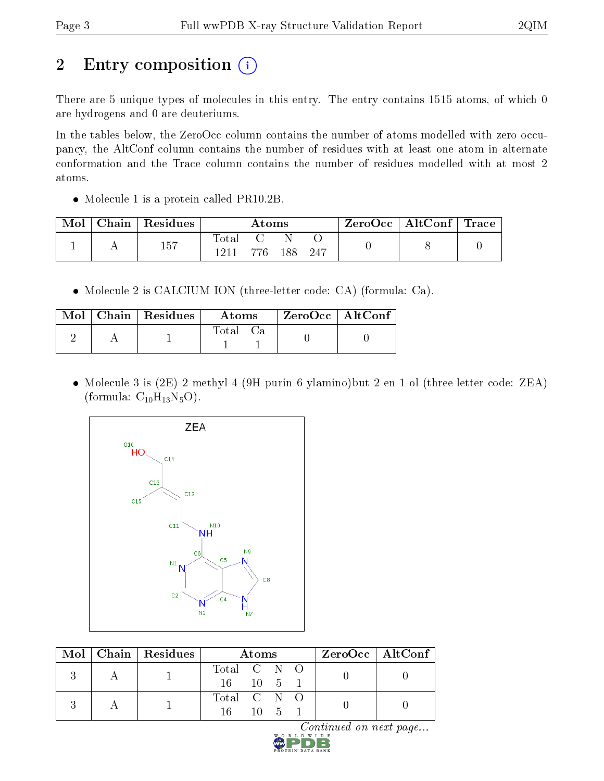# 2 Entry composition (i)

There are 5 unique types of molecules in this entry. The entry contains 1515 atoms, of which 0 are hydrogens and 0 are deuteriums.

In the tables below, the ZeroOcc column contains the number of atoms modelled with zero occupancy, the AltConf column contains the number of residues with at least one atom in alternate conformation and the Trace column contains the number of residues modelled with at most 2 atoms.

• Molecule 1 is a protein called PR10.2B.

| Mol | Chain   Residues |               | $\rm{Atoms}$ |     |     | ZeroOcc   AltConf   Trace |  |
|-----|------------------|---------------|--------------|-----|-----|---------------------------|--|
|     | 1 にワ             | Total<br>1911 | 776          | 188 | 247 |                           |  |
|     |                  |               |              |     |     |                           |  |

Molecule 2 is CALCIUM ION (three-letter code: CA) (formula: Ca).

|  | Mol   Chain   Residues | Atoms    |  | ZeroOcc   AltConf |  |
|--|------------------------|----------|--|-------------------|--|
|  |                        | Total Ca |  |                   |  |

 Molecule 3 is (2E)-2-methyl-4-(9H-purin-6-ylamino)but-2-en-1-ol (three-letter code: ZEA) (formula:  $C_{10}H_{13}N_5O$ ).



|  | Mol   Chain   Residues | $\boldsymbol{\mathrm{Atoms}}$ |  |          |  | ZeroOcc   AltConf |  |
|--|------------------------|-------------------------------|--|----------|--|-------------------|--|
|  |                        | Total C N O                   |  |          |  |                   |  |
|  |                        | $16 \t10 \t5 \t1$             |  |          |  |                   |  |
|  |                        | Total C N O                   |  |          |  |                   |  |
|  |                        | 16 -                          |  | $10 - 5$ |  |                   |  |

 $Continued$  on next page...

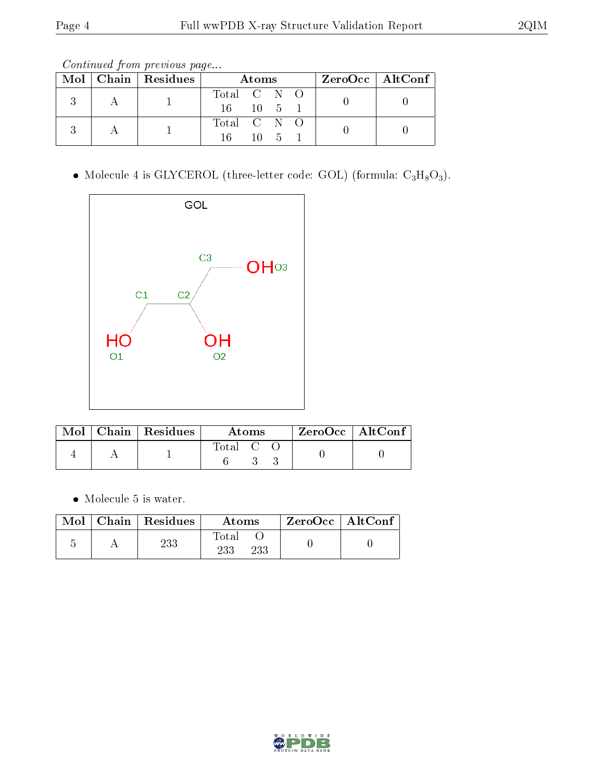Continued from previous page...

|  | $\text{Mol}$   Chain   Residues | Atoms                  |          |  |  | ZeroOcc   AltConf |
|--|---------------------------------|------------------------|----------|--|--|-------------------|
|  |                                 | Total C N O<br>16 10 5 |          |  |  |                   |
|  |                                 | Total C N O<br>16.     | $10 - 5$ |  |  |                   |

• Molecule 4 is GLYCEROL (three-letter code: GOL) (formula:  $C_3H_8O_3$ ).



|  | $\parallel$ Mol $\parallel$ Chain $\parallel$ Residues $\perp$ | Atoms   |  |  | $ZeroOcc \mid AltConf \mid$ |  |
|--|----------------------------------------------------------------|---------|--|--|-----------------------------|--|
|  |                                                                | Total C |  |  |                             |  |

Molecule 5 is water.

| Mol | Chain   Residues | Atoms               | $\mid$ ZeroOcc $\mid$ AltConf $\mid$ |  |
|-----|------------------|---------------------|--------------------------------------|--|
|     | 233              | Total<br>233<br>233 |                                      |  |

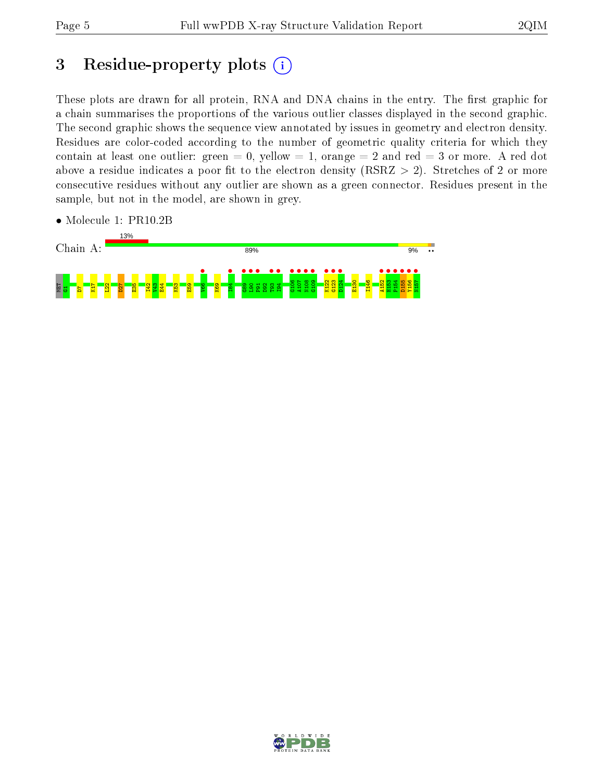## 3 Residue-property plots  $(i)$

These plots are drawn for all protein, RNA and DNA chains in the entry. The first graphic for a chain summarises the proportions of the various outlier classes displayed in the second graphic. The second graphic shows the sequence view annotated by issues in geometry and electron density. Residues are color-coded according to the number of geometric quality criteria for which they contain at least one outlier: green  $= 0$ , yellow  $= 1$ , orange  $= 2$  and red  $= 3$  or more. A red dot above a residue indicates a poor fit to the electron density (RSRZ  $> 2$ ). Stretches of 2 or more consecutive residues without any outlier are shown as a green connector. Residues present in the sample, but not in the model, are shown in grey.



• Molecule 1: PR10.2B

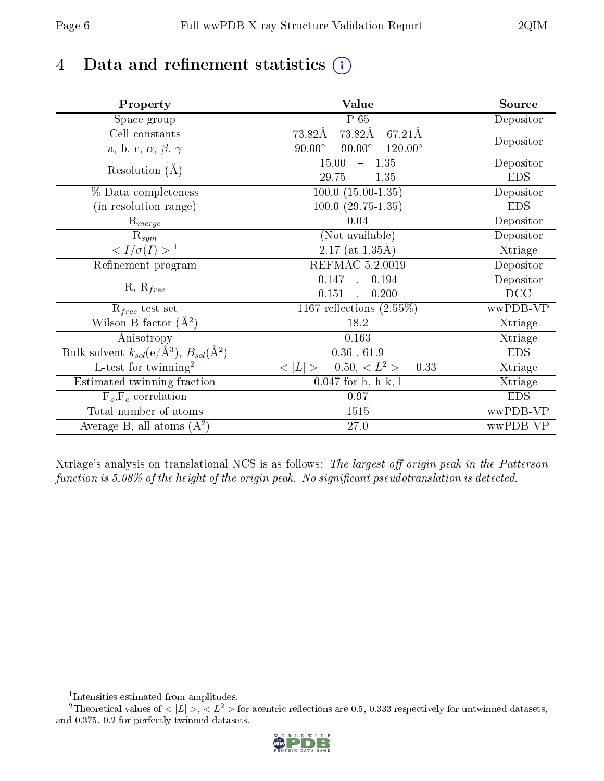# 4 Data and refinement statistics  $(i)$

| Property                                                             | Value                                                    | Source     |  |
|----------------------------------------------------------------------|----------------------------------------------------------|------------|--|
| Space group                                                          | P 65                                                     | Depositor  |  |
| Cell constants                                                       | $73.82\text{\AA}$<br>67.21Å<br>73.82Å                    |            |  |
| a, b, c, $\alpha$ , $\beta$ , $\gamma$                               | $90.00^\circ$<br>$90.00^\circ$<br>$120.00^\circ$         | Depositor  |  |
| Resolution $(A)$                                                     | $-1.35$<br>15.00                                         | Depositor  |  |
|                                                                      | 29.75<br>$-1.35$                                         | <b>EDS</b> |  |
| % Data completeness                                                  | $100.0 (15.00 - 1.35)$                                   | Depositor  |  |
| (in resolution range)                                                | $100.0 (29.75 - 1.35)$                                   | <b>EDS</b> |  |
| $R_{merge}$                                                          | 0.04                                                     | Depositor  |  |
| $\mathrm{R}_{sym}$                                                   | (Not available)                                          | Depositor  |  |
| $\langle I/\sigma(I) \rangle$ <sup>1</sup>                           | $\overline{2.17}$ (at 1.35Å)                             | Xtriage    |  |
| Refinement program                                                   | <b>REFMAC 5.2.0019</b>                                   | Depositor  |  |
|                                                                      | $\overline{0.147}$ ,<br>0.194                            | Depositor  |  |
| $R, R_{free}$                                                        | 0.151<br>0.200<br>$\ddot{\phantom{a}}$                   | DCC        |  |
| $\mathcal{R}_{free}$ test set                                        | 1167 reflections $(2.55\%)$                              | wwPDB-VP   |  |
| Wilson B-factor $(A^2)$                                              | 18.2                                                     | Xtriage    |  |
| Anisotropy                                                           | 0.163                                                    | Xtriage    |  |
| Bulk solvent $k_{sol}(e/\mathring{A}^3)$ , $B_{sol}(\mathring{A}^2)$ | 0.36, 61.9                                               | <b>EDS</b> |  |
| L-test for twinning <sup>2</sup>                                     | $\langle  L  \rangle = 0.50, \langle L^2 \rangle = 0.33$ | Xtriage    |  |
| Estimated twinning fraction                                          | $0.047$ for h,-h-k,-l                                    | Xtriage    |  |
| $F_o, F_c$ correlation                                               | 0.97                                                     | <b>EDS</b> |  |
| Total number of atoms                                                | 1515                                                     | wwPDB-VP   |  |
| Average B, all atoms $(A^2)$                                         | 27.0                                                     | wwPDB-VP   |  |

Xtriage's analysis on translational NCS is as follows: The largest off-origin peak in the Patterson function is  $5.08\%$  of the height of the origin peak. No significant pseudotranslation is detected.

<sup>&</sup>lt;sup>2</sup>Theoretical values of  $\langle |L| \rangle$ ,  $\langle L^2 \rangle$  for acentric reflections are 0.5, 0.333 respectively for untwinned datasets, and 0.375, 0.2 for perfectly twinned datasets.



<span id="page-5-1"></span><span id="page-5-0"></span><sup>1</sup> Intensities estimated from amplitudes.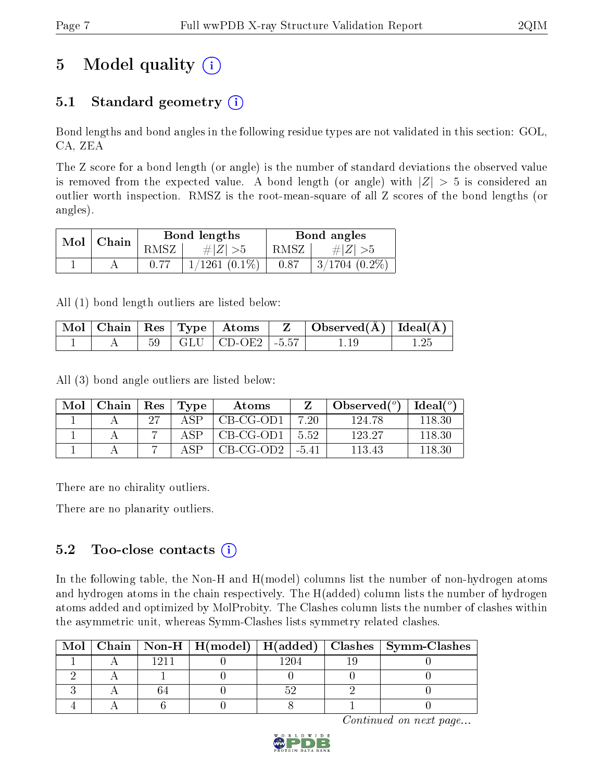# 5 Model quality  $(i)$

## 5.1 Standard geometry  $(i)$

Bond lengths and bond angles in the following residue types are not validated in this section: GOL, CA, ZEA

The Z score for a bond length (or angle) is the number of standard deviations the observed value is removed from the expected value. A bond length (or angle) with  $|Z| > 5$  is considered an outlier worth inspection. RMSZ is the root-mean-square of all Z scores of the bond lengths (or angles).

|                |  | Bond lengths       | Bond angles |                 |  |
|----------------|--|--------------------|-------------|-----------------|--|
| ' Chain<br>Mol |  | # $ Z  > 5$        | RMSZ-       | $\# Z  > 5$     |  |
|                |  | $1/1261$ $(0.1\%)$ | 0.87        | $3/1704$ (0.2%) |  |

All (1) bond length outliers are listed below:

|  |  |                             | $\mid$ Mol $\mid$ Chain $\mid$ Res $\mid$ Type $\mid$ Atoms $\mid$ Z $\mid$ Observed(A) $\mid$ Ideal(A) $\mid$ |  |
|--|--|-----------------------------|----------------------------------------------------------------------------------------------------------------|--|
|  |  | $59$   GLU   CD-OE2   -5.57 |                                                                                                                |  |

All (3) bond angle outliers are listed below:

| Mol | Chain | $+$ Res $+$ | Type           | Atoms     |        | Observed $(°)$ | Ideal (°) |
|-----|-------|-------------|----------------|-----------|--------|----------------|-----------|
|     |       | 97          |                | CB-CG-OD1 | 7.20   | 124.78         | 118.30    |
|     |       |             | $\triangle$ SP | CB-CG-OD1 | 5.52   | 123.27         | 118.30    |
|     |       |             |                | CB-CG-OD2 | $-541$ | 113.43         | 118 30    |

There are no chirality outliers.

There are no planarity outliers.

### $5.2$  Too-close contacts  $\overline{()}$

In the following table, the Non-H and H(model) columns list the number of non-hydrogen atoms and hydrogen atoms in the chain respectively. The H(added) column lists the number of hydrogen atoms added and optimized by MolProbity. The Clashes column lists the number of clashes within the asymmetric unit, whereas Symm-Clashes lists symmetry related clashes.

| Mol |  |  | Chain   Non-H   H(model)   H(added)   Clashes   Symm-Clashes |
|-----|--|--|--------------------------------------------------------------|
|     |  |  |                                                              |
|     |  |  |                                                              |
|     |  |  |                                                              |
|     |  |  |                                                              |

Continued on next page...

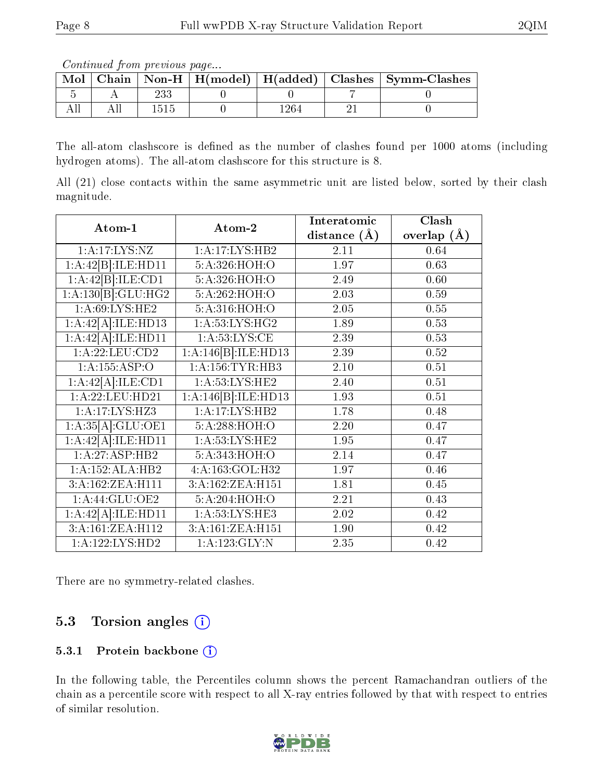Continued from previous page...

| Mol |  |  | Chain   Non-H   $H(model)$   $H(added)$   Clashes   Symm-Clashes |
|-----|--|--|------------------------------------------------------------------|
|     |  |  |                                                                  |
|     |  |  |                                                                  |

The all-atom clashscore is defined as the number of clashes found per 1000 atoms (including hydrogen atoms). The all-atom clashscore for this structure is 8.

All (21) close contacts within the same asymmetric unit are listed below, sorted by their clash magnitude.

|                                |                     | Interatomic    | Clash         |
|--------------------------------|---------------------|----------------|---------------|
| Atom-1                         | Atom-2              | distance $(A)$ | overlap $(A)$ |
| 1: A:17: LYS: NZ               | 1:A:17:LYS:HB2      | 2.11           | 0.64          |
| 1:A:42[B]:ILE:HD11             | 5:A:326:HOH:O       | 1.97           | 0.63          |
| 1:A:42[B]:ILE:CD1              | 5:A:326:HOH:O       | 2.49           | 0.60          |
| 1:A:130[B]:GLU:HG2             | 5:A:262:HOH:O       | 2.03           | 0.59          |
| $1:A:69:LYS:\overline{HE2}$    | 5:A:316:HOH:O       | 2.05           | 0.55          |
| 1:A:42[A]:ILE:HD13             | 1: A:53: LYS: HG2   | 1.89           | 0.53          |
| 1:A:42[A]:ILE:HD11             | 1: A: 53: LYS: CE   | 2.39           | 0.53          |
| 1:A:22:LEU:CD2                 | 1:A:146[B]:ILE:HD13 | 2.39           | 0.52          |
| 1:A:155:ASP:O                  | 1: A: 156: TYR: HB3 | 2.10           | 0.51          |
| $1:A:42[A]\overline{.!LE:CD1}$ | 1: A:53: LYS: HE2   | 2.40           | 0.51          |
| 1:A:22:LEU:HD21                | 1:A:146[B]:ILE:HD13 | 1.93           | 0.51          |
| $1:A:\overline{17:LYS:HZ3}$    | 1:A:17:LYS:HB2      | 1.78           | 0.48          |
| 1:A:35[A]:GLU:OE1              | 5:A:288:HOH:O       | 2.20           | 0.47          |
| 1:A:42[A]:ILE:HD11             | 1: A:53: LYS: HE2   | 1.95           | 0.47          |
| 1:A:27:ASP:HB2                 | 5:A:343:HOH:O       | 2.14           | 0.47          |
| 1:A:152:ALA:HB2                | 4:A:163:GOL:H32     | 1.97           | 0.46          |
| 3:A:162:ZEA:H111               | 3:A:162:ZEA:H151    | 1.81           | 0.45          |
| 1:A:44:GLU:OE2                 | 5:A:204:HOH:O       | 2.21           | 0.43          |
| 1:A:42[A]:ILE:HD11             | 1:A:53:LYS:HE3      | 2.02           | 0.42          |
| 3:A:161:ZEA:H112               | 3:A:161:ZEA:H151    | 1.90           | 0.42          |
| 1:A:122:LYS:HD2                | 1:A:123:GLY:N       | 2.35           | 0.42          |

There are no symmetry-related clashes.

## 5.3 Torsion angles  $(i)$

#### 5.3.1 Protein backbone (i)

In the following table, the Percentiles column shows the percent Ramachandran outliers of the chain as a percentile score with respect to all X-ray entries followed by that with respect to entries of similar resolution.

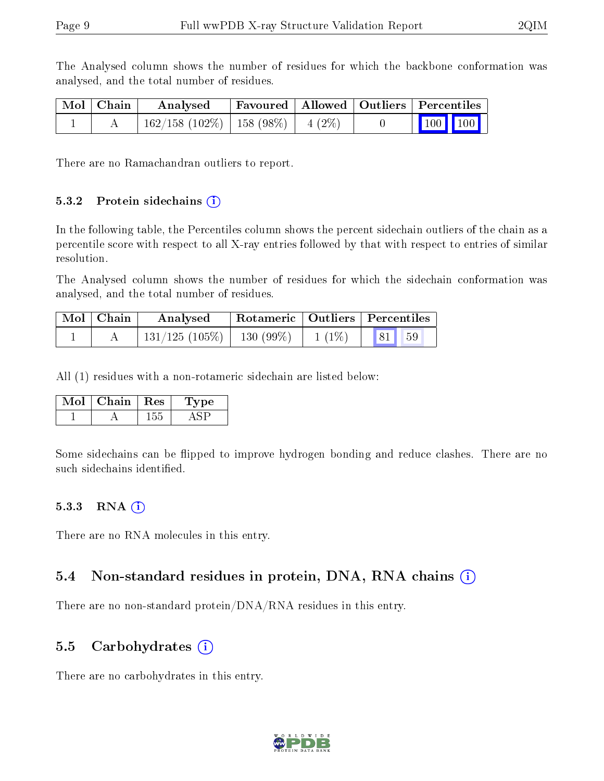The Analysed column shows the number of residues for which the backbone conformation was analysed, and the total number of residues.

| Mol   Chain | Analysed                                 |  | Favoured   Allowed   Outliers   Percentiles                  |  |
|-------------|------------------------------------------|--|--------------------------------------------------------------|--|
|             | $162/158$ (102\%)   158 (98\%)   4 (2\%) |  | $\begin{array}{ c c c c c }\n\hline\n100 & 100\n\end{array}$ |  |

There are no Ramachandran outliers to report.

#### 5.3.2 Protein sidechains  $(i)$

In the following table, the Percentiles column shows the percent sidechain outliers of the chain as a percentile score with respect to all X-ray entries followed by that with respect to entries of similar resolution.

The Analysed column shows the number of residues for which the sidechain conformation was analysed, and the total number of residues.

| $Mol$   Chain | Analysed                       |          | Rotameric   Outliers   Percentiles |  |
|---------------|--------------------------------|----------|------------------------------------|--|
|               | $131/125$ (105\%)   130 (99\%) | $1(1\%)$ | 81 59                              |  |

All (1) residues with a non-rotameric sidechain are listed below:

| Chain | $\parallel$ Res | vpe |
|-------|-----------------|-----|
|       |                 |     |

Some sidechains can be flipped to improve hydrogen bonding and reduce clashes. There are no such sidechains identified.

#### $5.3.3$  RNA  $(i)$

There are no RNA molecules in this entry.

### 5.4 Non-standard residues in protein, DNA, RNA chains (i)

There are no non-standard protein/DNA/RNA residues in this entry.

#### 5.5 Carbohydrates  $(i)$

There are no carbohydrates in this entry.

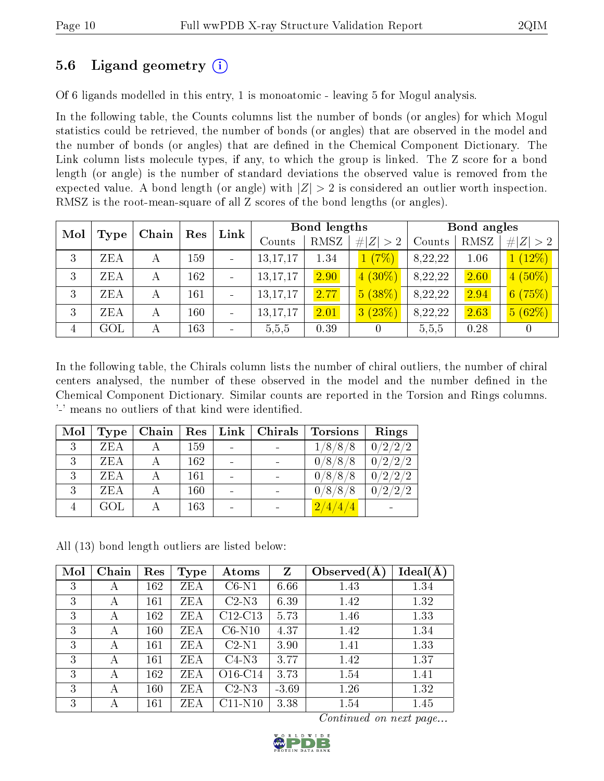### 5.6 Ligand geometry (i)

Of 6 ligands modelled in this entry, 1 is monoatomic - leaving 5 for Mogul analysis.

In the following table, the Counts columns list the number of bonds (or angles) for which Mogul statistics could be retrieved, the number of bonds (or angles) that are observed in the model and the number of bonds (or angles) that are dened in the Chemical Component Dictionary. The Link column lists molecule types, if any, to which the group is linked. The Z score for a bond length (or angle) is the number of standard deviations the observed value is removed from the expected value. A bond length (or angle) with  $|Z| > 2$  is considered an outlier worth inspection. RMSZ is the root-mean-square of all Z scores of the bond lengths (or angles).

| Mol            |            |   | Link<br>Res<br>Chain |  |            | Bond lengths |             | Bond angles |      |             |
|----------------|------------|---|----------------------|--|------------|--------------|-------------|-------------|------|-------------|
|                | Type       |   |                      |  | Counts     | RMSZ         | # $ Z  > 2$ | Counts      | RMSZ | # $ Z  > 2$ |
| 3              | ZEA        |   | 159                  |  | 13, 17, 17 | 1.34         | (7%)        | 8,22,22     | 1.06 | $(12\%)$    |
| 3              | <b>ZEA</b> |   | 162                  |  | 13, 17, 17 | 2.90         | $4(30\%)$   | 8,22,22     | 2.60 | $(50\%)$    |
| 3              | <b>ZEA</b> | А | 161                  |  | 13, 17, 17 | 2.77         | 5(38%)      | 8,22,22     | 2.94 | 6(75%)      |
| 3              | ZEA        | А | 160                  |  | 13, 17, 17 | 2.01         | (23%)<br> 3 | 8,22,22     | 2.63 | 5(62%)      |
| $\overline{4}$ | GOL        |   | 163                  |  | 5,5,5      | 0.39         |             | 5,5,5       | 0.28 |             |

In the following table, the Chirals column lists the number of chiral outliers, the number of chiral centers analysed, the number of these observed in the model and the number defined in the Chemical Component Dictionary. Similar counts are reported in the Torsion and Rings columns. '-' means no outliers of that kind were identified.

| Mol | <b>Type</b> | Chain | Res | Link | Chirals | <b>Torsions</b> | Rings                                        |
|-----|-------------|-------|-----|------|---------|-----------------|----------------------------------------------|
| 3   | <b>ZEA</b>  |       | 159 |      |         | 1/8/8/8         | $0/2/2\sqrt{2}$                              |
| 3   | ZEA         |       | 162 |      |         | 0/8/8/8         | 0/2/2/2                                      |
| 3   | ZEA         |       | 161 |      |         | 0/8/8/8         | 0/2/2/2                                      |
| ર   | <b>ZEA</b>  |       | 160 |      |         | 0/8/8/8         | $/2\!\!\!{\phantom{0}}/2$<br>/2/<br>$\Omega$ |
|     | $\rm GOL$   |       | 163 |      |         | 2/4/4/4         |                                              |

All (13) bond length outliers are listed below:

| Mol | Chain | Res | <b>Type</b> | Atoms                            | Z       | Observed $(A)$ | $Ideal(\AA)$ |
|-----|-------|-----|-------------|----------------------------------|---------|----------------|--------------|
| 3   | А     | 162 | ZEA         | $C6-N1$                          | 6.66    | 1.43           | 1.34         |
| 3   | А     | 161 | ZEA         | $C2-N3$                          | 6.39    | 1.42           | 1.32         |
| 3   | А     | 162 | ZEA         | $C12-C13$                        | 5.73    | 1.46           | 1.33         |
| 3   | А     | 160 | ZEA         | $C6-N10$                         | 4.37    | 1.42           | 1.34         |
| 3   | А     | 161 | ZEA         | $C2-N1$                          | 3.90    | 1.41           | 1.33         |
| 3   | А     | 161 | ZEA         | $C4-N3$                          | 3.77    | 1.42           | 1.37         |
| 3   | А     | 162 | ZEA         | O <sub>16</sub> -C <sub>14</sub> | 3.73    | 1.54           | 1.41         |
| 3   | А     | 160 | ZEA         | $C2-N3$                          | $-3.69$ | 1.26           | 1.32         |
| 3   | А     | 161 | ZEA         | $C11-N10$                        | 3.38    | 1.54           | 1.45         |

Continued on next page...

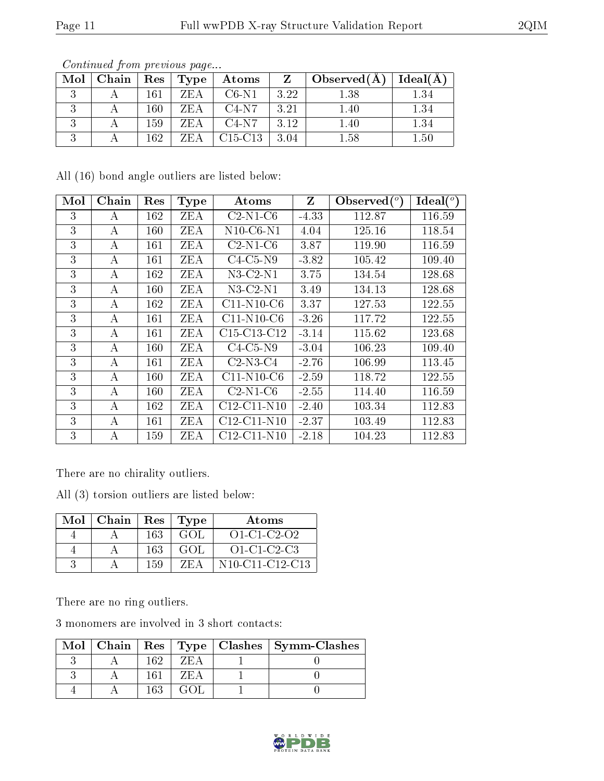| Mol | Chain |     | $\mid$ Res $\mid$ Type $\mid$ | Atoms     | $Z =$ | $\perp$ Observed(A) $\perp$ | Ideal $(A)$ |
|-----|-------|-----|-------------------------------|-----------|-------|-----------------------------|-------------|
|     |       | 161 | ZEA                           | $C6-N1$   | 3.22  | $1.38\,$                    | 1.34        |
|     |       | 160 | ZEA                           | $C4-N7$   | -3.21 | 1.40                        | 1.34        |
|     |       | 159 | ZEA                           | $C4-N7$   | 3.12  | 1.40                        | 1.34        |
|     |       | 162 | ZEA                           | $C15-C13$ | -3.04 | $1.58\,$                    | 1.50        |

Continued from previous page...

All (16) bond angle outliers are listed below:

| Mol | Chain | Res     | <b>Type</b> | Atoms           | Z       | Observed $(°)$ | Ideal $({}^{\circ})$ |
|-----|-------|---------|-------------|-----------------|---------|----------------|----------------------|
| 3   | А     | 162     | <b>ZEA</b>  | $C2-N1-C6$      | $-4.33$ | 112.87         | 116.59               |
| 3   | А     | $160\,$ | ZEA         | $N10$ -C6- $N1$ | 4.04    | 125.16         | 118.54               |
| 3   | A     | 161     | <b>ZEA</b>  | $C2-N1-C6$      | 3.87    | 119.90         | 116.59               |
| 3   | А     | 161     | ZEA         | $C4-C5-N9$      | $-3.82$ | 105.42         | 109.40               |
| 3   | А     | 162     | <b>ZEA</b>  | $N3-C2-N1$      | 3.75    | 134.54         | 128.68               |
| 3   | А     | $160\,$ | ZEA         | $N3-C2-N1$      | 3.49    | 134.13         | 128.68               |
| 3   | А     | 162     | ZEA         | $C11-N10-C6$    | 3.37    | 127.53         | 122.55               |
| 3   | A     | 161     | ZEA         | $C11-N10-C6$    | $-3.26$ | 117.72         | 122.55               |
| 3   | A     | 161     | ZEA         | C15-C13-C12     | $-3.14$ | 115.62         | 123.68               |
| 3   | А     | 160     | ZEA         | $C4-C5-N9$      | $-3.04$ | 106.23         | 109.40               |
| 3   | А     | 161     | ZEA         | $C2-N3-C4$      | $-2.76$ | 106.99         | 113.45               |
| 3   | А     | $160\,$ | ZEA         | $C11-N10-C6$    | $-2.59$ | 118.72         | 122.55               |
| 3   | А     | 160     | ZEA         | $C2-N1-C6$      | $-2.55$ | 114.40         | 116.59               |
| 3   | A     | 162     | <b>ZEA</b>  | C12-C11-N10     | $-2.40$ | 103.34         | 112.83               |
| 3   | А     | 161     | ZEA         | $C12-C11-N10$   | $-2.37$ | 103.49         | 112.83               |
| 3   | А     | 159     | <b>ZEA</b>  | $C12-C11-N10$   | $-2.18$ | 104.23         | 112.83               |

There are no chirality outliers.

All (3) torsion outliers are listed below:

| Mol | Chain | Res | $\vert$ Type | Atoms                                                              |
|-----|-------|-----|--------------|--------------------------------------------------------------------|
|     |       | 163 | GOL.         | $O1 - C1 - C2 - O2$                                                |
|     |       | 163 | GOL.         | $O1-C1-C2-C3$                                                      |
|     |       | 159 | 'Z F. A      | N <sub>10</sub> -C <sub>11</sub> -C <sub>12</sub> -C <sub>13</sub> |

There are no ring outliers.

3 monomers are involved in 3 short contacts:

|  |     |        | Mol   Chain   Res   Type   Clashes   Symm-Clashes |
|--|-----|--------|---------------------------------------------------|
|  |     |        |                                                   |
|  |     | 'ΖH: Δ |                                                   |
|  | 163 |        |                                                   |

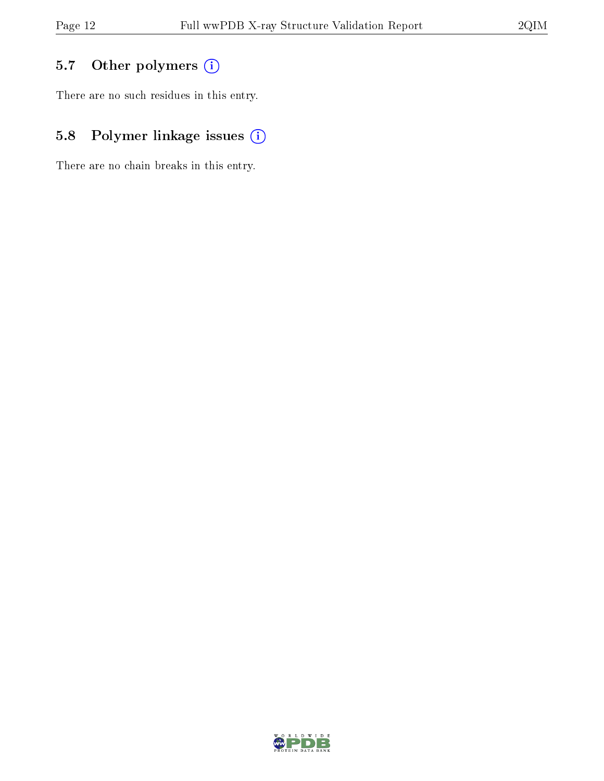## 5.7 [O](https://www.wwpdb.org/validation/2017/XrayValidationReportHelp#nonstandard_residues_and_ligands)ther polymers (i)

There are no such residues in this entry.

## 5.8 Polymer linkage issues (i)

There are no chain breaks in this entry.

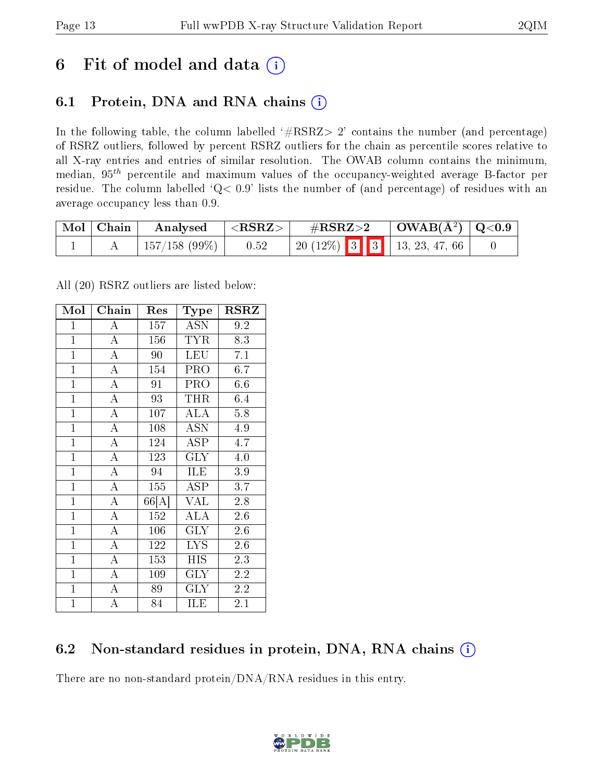## 6 Fit of model and data  $(i)$

## 6.1 Protein, DNA and RNA chains  $(i)$

In the following table, the column labelled  $#RSRZ> 2'$  contains the number (and percentage) of RSRZ outliers, followed by percent RSRZ outliers for the chain as percentile scores relative to all X-ray entries and entries of similar resolution. The OWAB column contains the minimum, median,  $95<sup>th</sup>$  percentile and maximum values of the occupancy-weighted average B-factor per residue. The column labelled ' $Q< 0.9$ ' lists the number of (and percentage) of residues with an average occupancy less than 0.9.

| $\mid$ Mol $\mid$ Chain | $\blacksquare$ Analysed    | $\mid$ <rsrz> <math>\mid</math></rsrz> | $\rm \#RSRZ{>}2$                  |  | $\vert$ OWAB( $\rm \AA^2$ ) $\vert$ Q<0.9 |  |
|-------------------------|----------------------------|----------------------------------------|-----------------------------------|--|-------------------------------------------|--|
|                         | $\pm 157/158$ (99\%) $\pm$ | 0.52                                   | 20 (12%)   3   3   13, 23, 47, 66 |  |                                           |  |

All (20) RSRZ outliers are listed below:

| Mol            | Chain              | Res                      | Type                    | <b>RSRZ</b>      |  |
|----------------|--------------------|--------------------------|-------------------------|------------------|--|
| $\mathbf{1}$   | А                  | 157                      | <b>ASN</b>              | 9.2              |  |
| $\mathbf{1}$   | $\overline{\rm A}$ | 156                      | <b>TYR</b>              | 8.3              |  |
| $\overline{1}$ | $\overline{A}$     | 90                       | <b>LEU</b>              | $\overline{7.1}$ |  |
| $\overline{1}$ | $\overline{\rm A}$ | 154                      | PRO                     | 6.7              |  |
| $\overline{1}$ | $\overline{\rm A}$ | 91                       | PRO                     | 6.6              |  |
| $\mathbf{1}$   | $\overline{A}$     | 93                       | THR                     | 6.4              |  |
| $\mathbf{1}$   | $\overline{\rm A}$ | 107                      | <b>ALA</b>              | 5.8              |  |
| $\overline{1}$ | $\overline{A}$     | 108                      | <b>ASN</b>              | 4.9              |  |
| $\overline{1}$ | $\overline{\rm A}$ | 124                      | <b>ASP</b>              | 4.7              |  |
| $\mathbf{1}$   | $\overline{A}$     | 123                      | $\overline{\text{GLY}}$ | 4.0              |  |
| $\mathbf{1}$   | $\overline{\rm A}$ | 94                       | ILE                     | 3.9              |  |
| $\mathbf{1}$   | $\overline{\rm A}$ | 155                      | $\overline{\text{ASP}}$ | 3.7              |  |
| $\mathbf{1}$   | $\overline{\rm A}$ | $66\overline{[{\rm A}]}$ | <b>VAL</b>              | 2.8              |  |
| $\mathbf{1}$   | $\overline{\rm A}$ | 152                      | <b>ALA</b>              | 2.6              |  |
| $\mathbf{1}$   | $\overline{A}$     | 106                      | <b>GLY</b>              | 2.6              |  |
| $\mathbf{1}$   | $\overline{\rm A}$ | 122                      | <b>LYS</b>              | 2.6              |  |
| $\overline{1}$ | $\overline{\rm A}$ | 153                      | <b>HIS</b>              | 2.3              |  |
| $\mathbf{1}$   | $\overline{\rm A}$ | 109                      | <b>GLY</b>              | 2.2              |  |
| $\mathbf{1}$   | $\overline{\rm A}$ | 89                       | <b>GLY</b>              | 2.2              |  |
| $\mathbf{1}$   | $\overline{\rm A}$ | 84                       | ILE                     | 2.1              |  |

### 6.2 Non-standard residues in protein, DNA, RNA chains (i)

There are no non-standard protein/DNA/RNA residues in this entry.